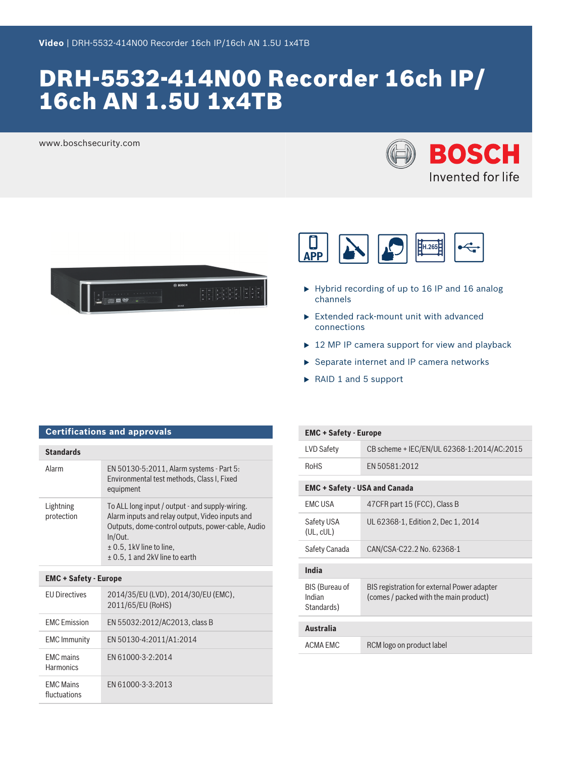# DRH-5532-414N00 Recorder 16ch IP/ 16ch AN 1.5U 1x4TB

www.boschsecurity.com







- $\blacktriangleright$  Hybrid recording of up to 16 IP and 16 analog channels
- $\blacktriangleright$  Extended rack-mount unit with advanced connections
- $\triangleright$  12 MP IP camera support for view and playback
- $\blacktriangleright$  Separate internet and IP camera networks
- $\triangleright$  RAID 1 and 5 support

| <b>Certifications and approvals</b> |                                                                                                                                                                                                                                          |  |
|-------------------------------------|------------------------------------------------------------------------------------------------------------------------------------------------------------------------------------------------------------------------------------------|--|
| <b>Standards</b>                    |                                                                                                                                                                                                                                          |  |
| Alarm                               | EN 50130-5:2011, Alarm systems - Part 5:<br>Environmental test methods, Class I, Fixed<br>equipment                                                                                                                                      |  |
| Lightning<br>protection             | To ALL long input / output - and supply-wiring.<br>Alarm inputs and relay output, Video inputs and<br>Outputs, dome-control outputs, power-cable, Audio<br>In/Out.<br>$\pm$ 0.5, 1kV line to line,<br>$\pm$ 0.5, 1 and 2kV line to earth |  |
| <b>FMC + Safety - Furone</b>        |                                                                                                                                                                                                                                          |  |

| <b>EMC + Safety - Europe</b>         |                                                          |  |  |
|--------------------------------------|----------------------------------------------------------|--|--|
| <b>FU Directives</b>                 | 2014/35/EU (LVD), 2014/30/EU (EMC),<br>2011/65/EU (RoHS) |  |  |
| <b>FMC</b> Emission                  | EN 55032:2012/AC2013, class B                            |  |  |
| <b>EMC Immunity</b>                  | EN 50130-4:2011/A1:2014                                  |  |  |
| <b>FMC</b> mains<br><b>Harmonics</b> | FN 61000-3-2:2014                                        |  |  |
| <b>FMC Mains</b><br>fluctuations     | FN 61000-3-3:2013                                        |  |  |

| <b>EMC + Safety - Europe</b>                  |                                                                                       |  |  |
|-----------------------------------------------|---------------------------------------------------------------------------------------|--|--|
| LVD Safety                                    | CB scheme + IEC/EN/UL 62368-1:2014/AC:2015                                            |  |  |
| <b>RoHS</b>                                   | FN 50581:2012                                                                         |  |  |
| <b>EMC + Safety - USA and Canada</b>          |                                                                                       |  |  |
| <b>FMCUSA</b>                                 | 47 CFR part 15 (FCC), Class B                                                         |  |  |
| Safety USA<br>(UL, cUL)                       | UL 62368-1, Edition 2, Dec 1, 2014                                                    |  |  |
| Safety Canada                                 | CAN/CSA-C22.2 No. 62368-1                                                             |  |  |
| India                                         |                                                                                       |  |  |
| <b>BIS (Bureau of</b><br>Indian<br>Standards) | BIS registration for external Power adapter<br>(comes / packed with the main product) |  |  |
| <b>Australia</b>                              |                                                                                       |  |  |
| ACMA FMC                                      | RCM logo on product label                                                             |  |  |
|                                               |                                                                                       |  |  |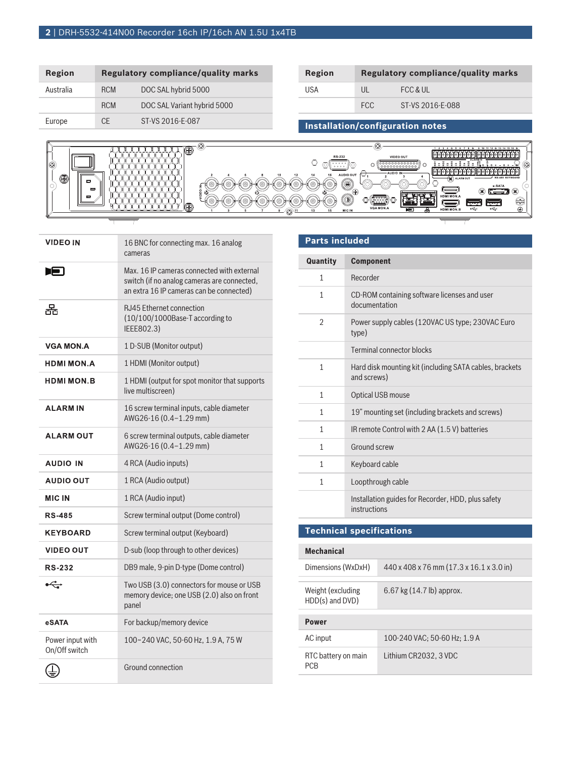# **2** | DRH-5532-414N00 Recorder 16ch IP/16ch AN 1.5U 1x4TB

| Region    | Regulatory compliance/quality marks |                             | Region |            | <b>Regulatory compliance/quality marks</b> |
|-----------|-------------------------------------|-----------------------------|--------|------------|--------------------------------------------|
| Australia | <b>RCM</b>                          | DOC SAL hybrid 5000         | USA    | UL         | FCC & UL                                   |
|           | <b>RCM</b>                          | DOC SAL Variant hybrid 5000 |        | <b>FCC</b> | ST-VS 2016-E-088                           |
| Europe    | <b>CE</b>                           | ST-VS 2016-E-087            |        |            | Installation/configuration notes           |

| VGA MON.A<br>$\odot$<br>÷<br>$\leftarrow$<br>呾<br>HDMI MON.B<br>MIC IN<br>13 | 10 | ◉<br>mas sa sa sa sa sa sa sa sa sa sa sa<br>$\circledcirc$<br>$\blacksquare$<br>▭<br>$\blacksquare$<br>0 | C<br>$G$ 13 14 15 16<br><u>alalalalalallalalalalalalalala</u><br>RS-232<br>VIDEO OUT<br>LARM<br>000<br><b>Ilolololololololo</b><br>ilololol<br>-AUDIO IN-<br>AUDIO OUT<br>14<br>ັ<br>RS-485 KEYBOARD<br>ALARM OUT<br>Ó<br>∾<br>Œ<br>́∾<br>e-SATA<br>œ<br>$-$<br>$\bar{\mathbb{O}}^\oplus$<br>െ<br>ക<br>۱ø<br>HDMI MON.A<br>€<br>000000<br>سمسح<br>لتستعينا<br>_ | $\check{ }$ |
|------------------------------------------------------------------------------|----|-----------------------------------------------------------------------------------------------------------|-----------------------------------------------------------------------------------------------------------------------------------------------------------------------------------------------------------------------------------------------------------------------------------------------------------------------------------------------------------------|-------------|
|------------------------------------------------------------------------------|----|-----------------------------------------------------------------------------------------------------------|-----------------------------------------------------------------------------------------------------------------------------------------------------------------------------------------------------------------------------------------------------------------------------------------------------------------------------------------------------------------|-------------|

| <b>VIDEO IN</b>                   | 16 BNC for connecting max. 16 analog<br>cameras                                                                                       |
|-----------------------------------|---------------------------------------------------------------------------------------------------------------------------------------|
| rЕI                               | Max, 16 IP cameras connected with external<br>switch (if no analog cameras are connected,<br>an extra 16 IP cameras can be connected) |
| 果                                 | RJ45 Ethernet connection<br>(10/100/1000Base-T according to<br>IEEE802.3)                                                             |
| <b>VGA MON.A</b>                  | 1 D-SUB (Monitor output)                                                                                                              |
| <b>HDMI MON.A</b>                 | 1 HDMI (Monitor output)                                                                                                               |
| <b>HDMI MON.B</b>                 | 1 HDMI (output for spot monitor that supports<br>live multiscreen)                                                                    |
| <b>ALARMIN</b>                    | 16 screw terminal inputs, cable diameter<br>AWG26-16 (0.4-1.29 mm)                                                                    |
| <b>ALARM OUT</b>                  | 6 screw terminal outputs, cable diameter<br>AWG26-16 (0.4-1.29 mm)                                                                    |
| <b>AUDIO IN</b>                   | 4 RCA (Audio inputs)                                                                                                                  |
| <b>AUDIO OUT</b>                  | 1 RCA (Audio output)                                                                                                                  |
| <b>MIC IN</b>                     | 1 RCA (Audio input)                                                                                                                   |
| <b>RS-485</b>                     | Screw terminal output (Dome control)                                                                                                  |
| <b>KEYBOARD</b>                   | Screw terminal output (Keyboard)                                                                                                      |
| <b>VIDEO OUT</b>                  | D-sub (loop through to other devices)                                                                                                 |
| <b>RS-232</b>                     | DB9 male, 9-pin D-type (Dome control)                                                                                                 |
| $\overrightarrow{C}$              | Two USB (3.0) connectors for mouse or USB<br>memory device; one USB (2.0) also on front<br>panel                                      |
| eSATA                             | For backup/memory device                                                                                                              |
| Power input with<br>On/Off switch | 100~240 VAC, 50-60 Hz, 1.9 A, 75 W                                                                                                    |
|                                   | Ground connection                                                                                                                     |

# **Parts included Quantity Component** 1 Recorder 1 CD-ROM containing software licenses and user documentation 2 Power supply cables (120VAC US type; 230VAC Euro type) Terminal connector blocks 1 Hard disk mounting kit (including SATA cables, brackets and screws) 1 Optical USB mouse 1 19" mounting set (including brackets and screws) 1 IR remote Control with 2 AA (1.5 V) batteries 1 Ground screw 1 Keyboard cable 1 Loopthrough cable Installation guides for Recorder, HDD, plus safety instructions

## **Technical specifications**

### **Mechanical**

| Dimensions (WxDxH)                    | 440 x 408 x 76 mm (17.3 x 16.1 x 3.0 in) |
|---------------------------------------|------------------------------------------|
| Weight (excluding)<br>HDD(s) and DVD) | 6.67 kg $(14.7 \text{ lb})$ approx.      |
| <b>Power</b>                          |                                          |
| AC input                              | 100-240 VAC; 50-60 Hz; 1.9 A             |
| RTC battery on main<br><b>PCB</b>     | Lithium CR2032, 3 VDC                    |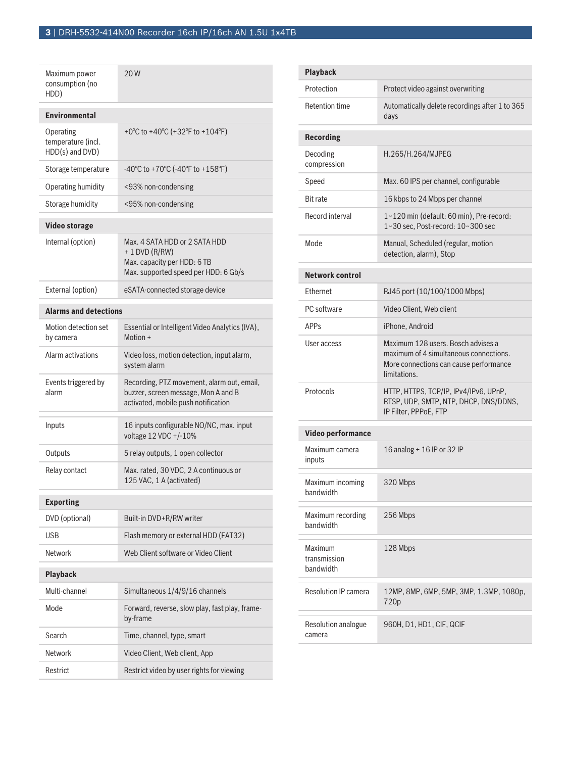| Maximum power<br>consumption (no<br>HDD)           | 20W                                                                                                                      |
|----------------------------------------------------|--------------------------------------------------------------------------------------------------------------------------|
| <b>Environmental</b>                               |                                                                                                                          |
| Operating<br>temperature (incl.<br>HDD(s) and DVD) | +0°C to +40°C (+32°F to +104°F)                                                                                          |
| Storage temperature                                | -40°C to +70°C (-40°F to +158°F)                                                                                         |
| Operating humidity                                 | <93% non-condensing                                                                                                      |
| Storage humidity                                   | <95% non-condensing                                                                                                      |
| <b>Video storage</b>                               |                                                                                                                          |
| Internal (option)                                  | Max. 4 SATA HDD or 2 SATA HDD<br>$+ 1$ DVD (R/RW)<br>Max. capacity per HDD: 6 TB<br>Max. supported speed per HDD: 6 Gb/s |
| External (option)                                  | eSATA-connected storage device                                                                                           |
| <b>Alarms and detections</b>                       |                                                                                                                          |
| Motion detection set<br>by camera                  | Essential or Intelligent Video Analytics (IVA),<br>Motion +                                                              |
| Alarm activations                                  | Video loss, motion detection, input alarm,<br>system alarm                                                               |
| Events triggered by<br>alarm                       | Recording, PTZ movement, alarm out, email,<br>buzzer, screen message, Mon A and B<br>activated, mobile push notification |
| Inputs                                             | 16 inputs configurable NO/NC, max. input<br>voltage 12 VDC +/-10%                                                        |
| Outputs                                            | 5 relay outputs, 1 open collector                                                                                        |
| Relay contact                                      | Max. rated, 30 VDC, 2 A continuous or<br>125 VAC, 1 A (activated)                                                        |
| <b>Exporting</b>                                   |                                                                                                                          |
| DVD (optional)                                     | Built-in DVD+R/RW writer                                                                                                 |
| <b>USB</b>                                         | Flash memory or external HDD (FAT32)                                                                                     |
| Network                                            | Web Client software or Video Client                                                                                      |
| <b>Playback</b>                                    |                                                                                                                          |
| Multi-channel                                      | Simultaneous 1/4/9/16 channels                                                                                           |
| Mode                                               | Forward, reverse, slow play, fast play, frame-<br>by-frame                                                               |
| Search                                             | Time, channel, type, smart                                                                                               |
| Network                                            | Video Client, Web client, App                                                                                            |
| Restrict                                           | Restrict video by user rights for viewing                                                                                |

| <b>Playback</b>                             |                                                                                                                                        |
|---------------------------------------------|----------------------------------------------------------------------------------------------------------------------------------------|
| Protection                                  | Protect video against overwriting                                                                                                      |
| <b>Retention time</b>                       | Automatically delete recordings after 1 to 365<br>davs                                                                                 |
| <b>Recording</b>                            |                                                                                                                                        |
| Decoding<br>compression                     | H.265/H.264/MJPEG                                                                                                                      |
| Speed                                       | Max. 60 IPS per channel, configurable                                                                                                  |
| <b>Bit rate</b>                             | 16 kbps to 24 Mbps per channel                                                                                                         |
| Record interval                             | 1~120 min (default: 60 min), Pre-record:<br>1~30 sec. Post-record: 10~300 sec                                                          |
| Mode                                        | Manual, Scheduled (regular, motion<br>detection, alarm), Stop                                                                          |
| <b>Network control</b>                      |                                                                                                                                        |
| Ethernet                                    | RJ45 port (10/100/1000 Mbps)                                                                                                           |
| PC software                                 | Video Client, Web client                                                                                                               |
| <b>APP<sub>S</sub></b>                      | iPhone, Android                                                                                                                        |
| User access                                 | Maximum 128 users. Bosch advises a<br>maximum of 4 simultaneous connections.<br>More connections can cause performance<br>limitations. |
| Protocols                                   | HTTP, HTTPS, TCP/IP, IPv4/IPv6, UPnP,<br>RTSP, UDP, SMTP, NTP, DHCP, DNS/DDNS,<br>IP Filter, PPPoE, FTP                                |
| Video performance                           |                                                                                                                                        |
| Maximum camera<br>inputs                    | 16 analog + 16 IP or 32 IP                                                                                                             |
| Maximum incoming<br>bandwidth               | 320 Mbps                                                                                                                               |
| Maximum recording<br>bandwidth              | 256 Mbps                                                                                                                               |
| <b>Maximum</b><br>transmission<br>bandwidth | 128 Mbps                                                                                                                               |
| <b>Resolution IP camera</b>                 | 12MP, 8MP, 6MP, 5MP, 3MP, 1.3MP, 1080p,<br>720p                                                                                        |
| Resolution analogue<br>camera               | 960H, D1, HD1, CIF, QCIF                                                                                                               |
|                                             |                                                                                                                                        |